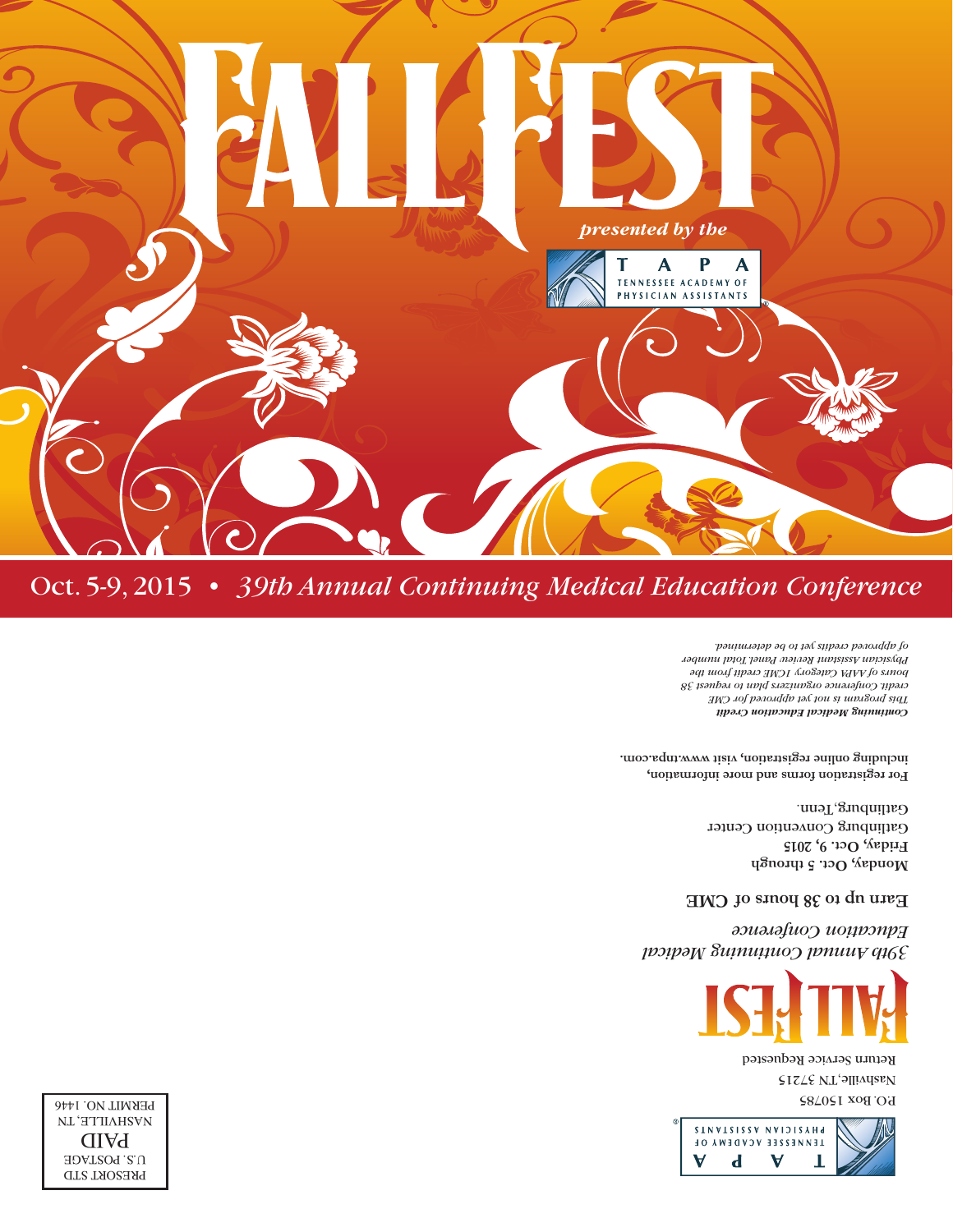

PERMIT NO. BOX 150785 PAPIL NO. 1446 Nashville, TN 37215 Return Service Requested



*39th Annual Continuing Medical Education Conference*

**Earn up to 38 hours of CME** 

**Monday, Oct. 5 through Friday, Oct. 9, 2015** Gatlinburg Convention Center Gatlinburg, Tenn.

**For registration forms and more information, including online registration, visit www.tnpa.com.**

*Continuing Medical Education Credit This program is not yet approved for CME credit. Conference organizers plan to request 38 hours of AAPA Category 1CME credit from the Physician Assistant Review Panel. Total number of approved credits yet to be determined.*



PRESORT STD U.S. POSTAGE PAID NL'HTINHSVN

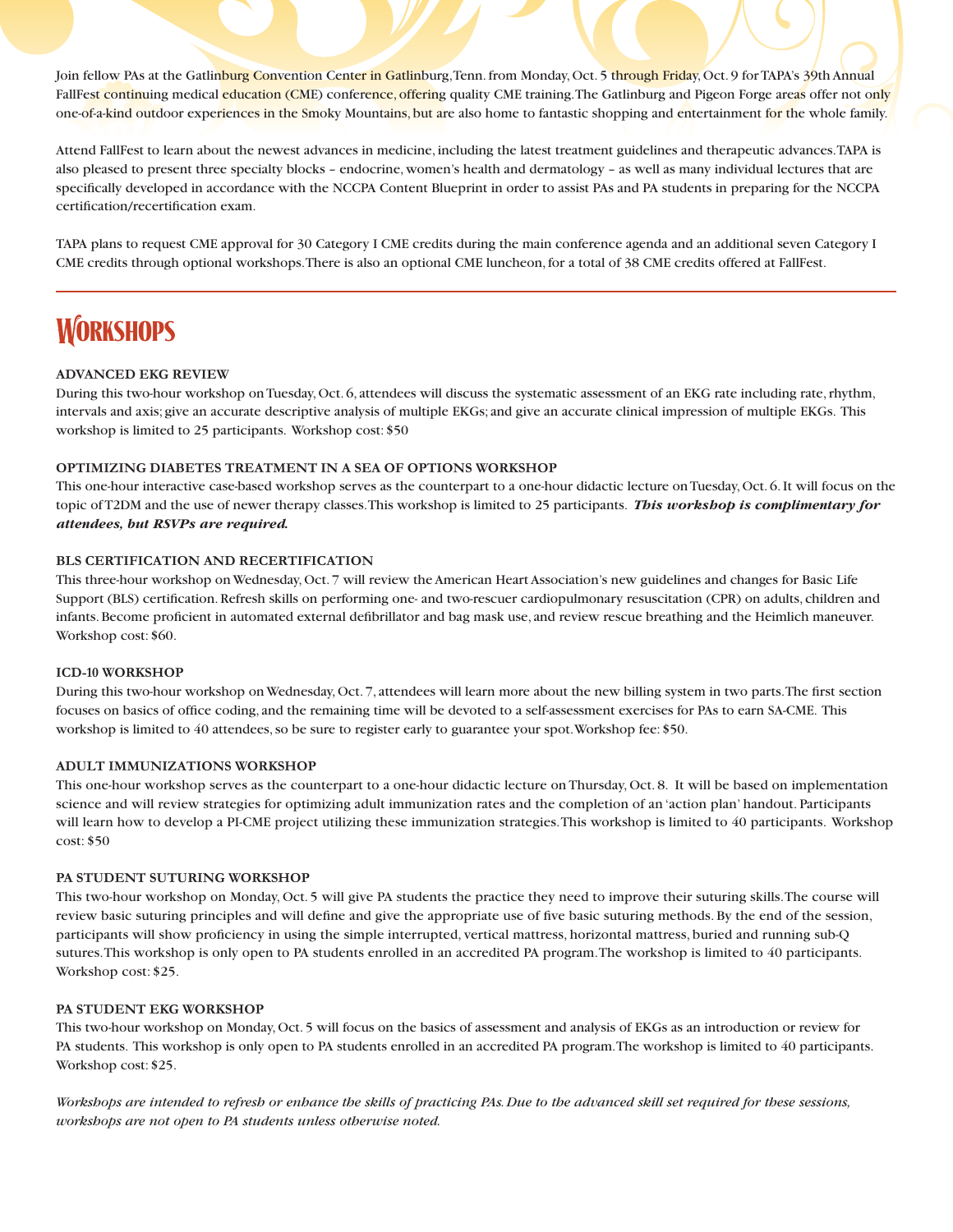Join fellow PAs at the Gatlinburg Convention Center in Gatlinburg, Tenn. from Monday, Oct. 5 through Friday, Oct. 9 for TAPA's 39th Annual FallFest continuing medical education (CME) conference, offering quality CME training. The Gatlinburg and Pigeon Forge areas offer not only one-of-a-kind outdoor experiences in the Smoky Mountains, but are also home to fantastic shopping and entertainment for the whole family.

Attend FallFest to learn about the newest advances in medicine, including the latest treatment guidelines and therapeutic advances. TAPA is also pleased to present three specialty blocks – endocrine, women's health and dermatology – as well as many individual lectures that are specifically developed in accordance with the NCCPA Content Blueprint in order to assist PAs and PA students in preparing for the NCCPA certification/recertification exam.

TAPA plans to request CME approval for 30 Category I CME credits during the main conference agenda and an additional seven Category I CME credits through optional workshops. There is also an optional CME luncheon, for a total of 38 CME credits offered at FallFest.

# **WORKSHOPS**

## **ADVANCED EKG REVIEW**

During this two-hour workshop on Tuesday, Oct. 6, attendees will discuss the systematic assessment of an EKG rate including rate, rhythm, intervals and axis; give an accurate descriptive analysis of multiple EKGs; and give an accurate clinical impression of multiple EKGs. This workshop is limited to 25 participants. Workshop cost: \$50

## **OPTIMIZING DIABETES TREATMENT IN A SEA OF OPTIONS WORKSHOP**

This one-hour interactive case-based workshop serves as the counterpart to a one-hour didactic lecture on Tuesday, Oct. 6. It will focus on the topic of T2DM and the use of newer therapy classes. This workshop is limited to 25 participants. *This workshop is complimentary for attendees, but RSVPs are required.*

## **BLS CERTIFICATION AND RECERTIFICATION**

This three-hour workshop on Wednesday, Oct. 7 will review the American Heart Association's new guidelines and changes for Basic Life Support (BLS) certification. Refresh skills on performing one- and two-rescuer cardiopulmonary resuscitation (CPR) on adults, children and infants. Become proficient in automated external defibrillator and bag mask use, and review rescue breathing and the Heimlich maneuver. Workshop cost: \$60.

### **ICD-10 WORKSHOP**

During this two-hour workshop on Wednesday, Oct. 7, attendees will learn more about the new billing system in two parts. The first section focuses on basics of office coding, and the remaining time will be devoted to a self-assessment exercises for PAs to earn SA-CME. This workshop is limited to 40 attendees, so be sure to register early to guarantee your spot. Workshop fee: \$50.

### **ADULT IMMUNIZATIONS WORKSHOP**

This one-hour workshop serves as the counterpart to a one-hour didactic lecture on Thursday, Oct. 8. It will be based on implementation science and will review strategies for optimizing adult immunization rates and the completion of an 'action plan' handout. Participants will learn how to develop a PI-CME project utilizing these immunization strategies. This workshop is limited to 40 participants. Workshop cost: \$50

### **PA STUDENT SUTURING WORKSHOP**

This two-hour workshop on Monday, Oct. 5 will give PA students the practice they need to improve their suturing skills. The course will review basic suturing principles and will define and give the appropriate use of five basic suturing methods. By the end of the session, participants will show proficiency in using the simple interrupted, vertical mattress, horizontal mattress, buried and running sub-Q sutures. This workshop is only open to PA students enrolled in an accredited PA program. The workshop is limited to 40 participants. Workshop cost: \$25.

### **PA STUDENT EKG WORKSHOP**

This two-hour workshop on Monday, Oct. 5 will focus on the basics of assessment and analysis of EKGs as an introduction or review for PA students. This workshop is only open to PA students enrolled in an accredited PA program. The workshop is limited to 40 participants. Workshop cost: \$25.

*Workshops are intended to refresh or enhance the skills of practicing PAs. Due to the advanced skill set required for these sessions, workshops are not open to PA students unless otherwise noted.*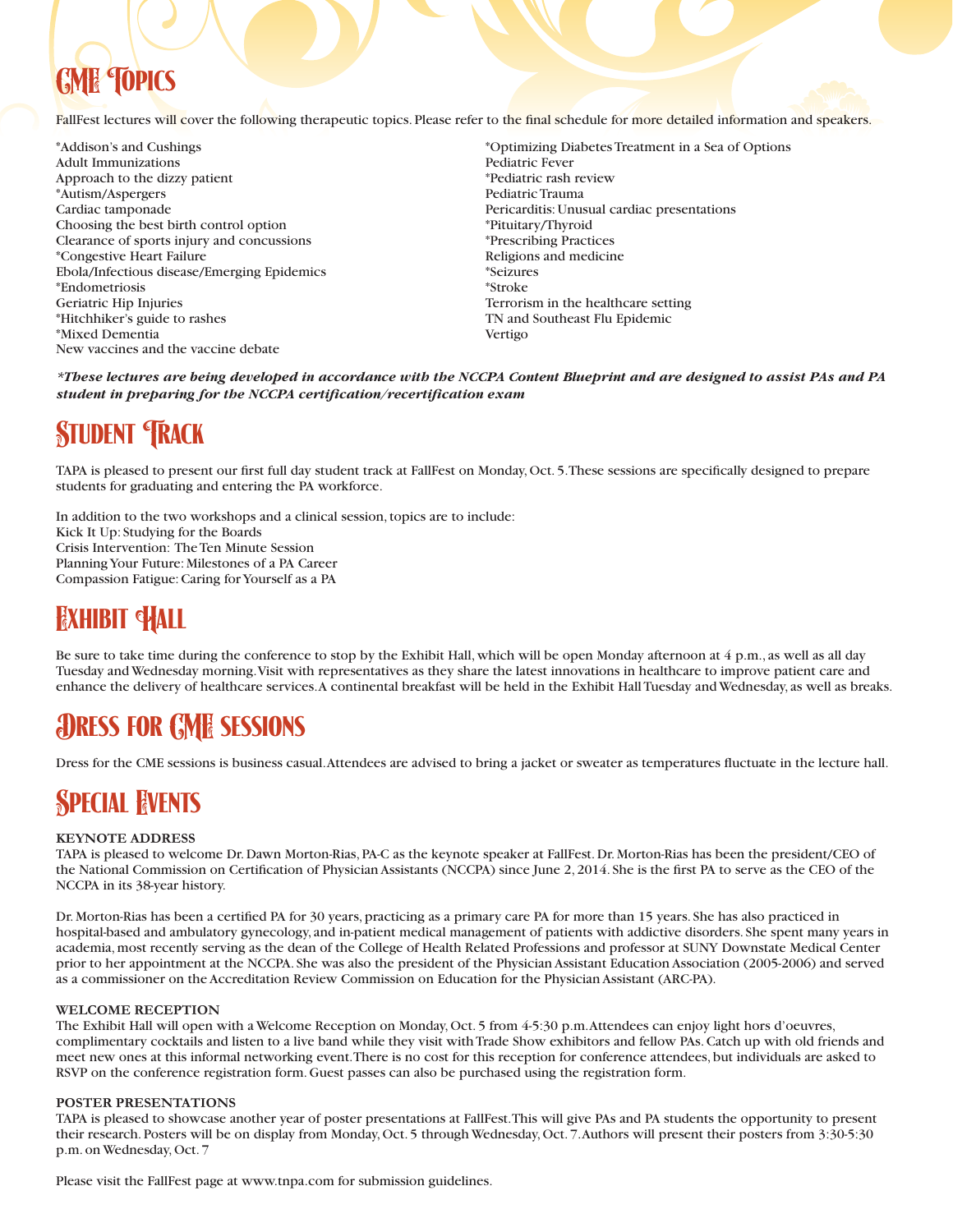# **FOPICS**

FallFest lectures will cover the following therapeutic topics. Please refer to the final schedule for more detailed information and speakers.

\*Addison's and Cushings Adult Immunizations Approach to the dizzy patient \*Autism/Aspergers Cardiac tamponade Choosing the best birth control option Clearance of sports injury and concussions \*Congestive Heart Failure Ebola/Infectious disease/Emerging Epidemics \*Endometriosis Geriatric Hip Injuries \*Hitchhiker's guide to rashes \*Mixed Dementia New vaccines and the vaccine debate

\*Optimizing Diabetes Treatment in a Sea of Options Pediatric Fever \*Pediatric rash review Pediatric Trauma Pericarditis: Unusual cardiac presentations \*Pituitary/Thyroid \*Prescribing Practices Religions and medicine \*Seizures \*Stroke Terrorism in the healthcare setting TN and Southeast Flu Epidemic Vertigo

*\*These lectures are being developed in accordance with the NCCPA Content Blueprint and are designed to assist PAs and PA student in preparing for the NCCPA certification/recertification exam*

# **STUDENT TRACK**

TAPA is pleased to present our first full day student track at FallFest on Monday, Oct. 5. These sessions are specifically designed to prepare students for graduating and entering the PA workforce.

In addition to the two workshops and a clinical session, topics are to include: Kick It Up: Studying for the Boards Crisis Intervention: The Ten Minute Session Planning Your Future: Milestones of a PA Career Compassion Fatigue: Caring for Yourself as a PA

## **FAHIBIT HALL**

Be sure to take time during the conference to stop by the Exhibit Hall, which will be open Monday afternoon at 4 p.m., as well as all day Tuesday and Wednesday morning. Visit with representatives as they share the latest innovations in healthcare to improve patient care and enhance the delivery of healthcare services. A continental breakfast will be held in the Exhibit Hall Tuesday and Wednesday, as well as breaks.

## Dress for CME sessions

Dress for the CME sessions is business casual. Attendees are advised to bring a jacket or sweater as temperatures fluctuate in the lecture hall.

## **SPECIAL EVENTS**

## **KEYNOTE ADDRESS**

TAPA is pleased to welcome Dr. Dawn Morton-Rias, PA-C as the keynote speaker at FallFest. Dr. Morton-Rias has been the president/CEO of the National Commission on Certification of Physician Assistants (NCCPA) since June 2, 2014. She is the first PA to serve as the CEO of the NCCPA in its 38-year history.

Dr. Morton-Rias has been a certified PA for 30 years, practicing as a primary care PA for more than 15 years. She has also practiced in hospital-based and ambulatory gynecology, and in-patient medical management of patients with addictive disorders. She spent many years in academia, most recently serving as the dean of the College of Health Related Professions and professor at SUNY Downstate Medical Center prior to her appointment at the NCCPA. She was also the president of the Physician Assistant Education Association (2005-2006) and served as a commissioner on the Accreditation Review Commission on Education for the Physician Assistant (ARC-PA).

## **WELCOME RECEPTION**

The Exhibit Hall will open with a Welcome Reception on Monday, Oct. 5 from 4-5:30 p.m. Attendees can enjoy light hors d'oeuvres, complimentary cocktails and listen to a live band while they visit with Trade Show exhibitors and fellow PAs. Catch up with old friends and meet new ones at this informal networking event. There is no cost for this reception for conference attendees, but individuals are asked to RSVP on the conference registration form. Guest passes can also be purchased using the registration form.

## **POSTER PRESENTATIONS**

TAPA is pleased to showcase another year of poster presentations at FallFest. This will give PAs and PA students the opportunity to present their research. Posters will be on display from Monday, Oct. 5 through Wednesday, Oct. 7. Authors will present their posters from 3:30-5:30 p.m. on Wednesday, Oct. 7

Please visit the FallFest page at www.tnpa.com for submission guidelines.